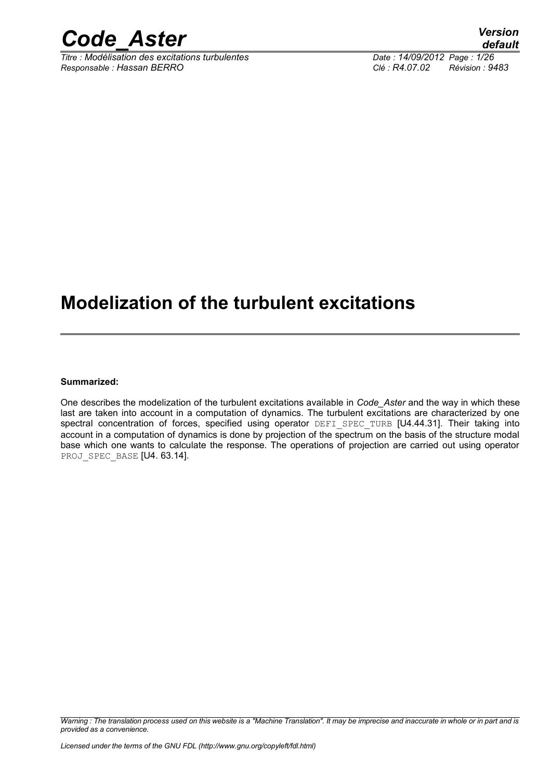

*Titre : Modélisation des excitations turbulentes Date : 14/09/2012 Page : 1/26 Responsable : Hassan BERRO Clé : R4.07.02 Révision : 9483*

# **Modelization of the turbulent excitations**

#### **Summarized:**

One describes the modelization of the turbulent excitations available in *Code\_Aster* and the way in which these last are taken into account in a computation of dynamics. The turbulent excitations are characterized by one spectral concentration of forces, specified using operator DEFI\_SPEC\_TURB [U4.44.31]. Their taking into account in a computation of dynamics is done by projection of the spectrum on the basis of the structure modal base which one wants to calculate the response. The operations of projection are carried out using operator PROJ SPEC BASE [U4. 63.14].

*Warning : The translation process used on this website is a "Machine Translation". It may be imprecise and inaccurate in whole or in part and is provided as a convenience.*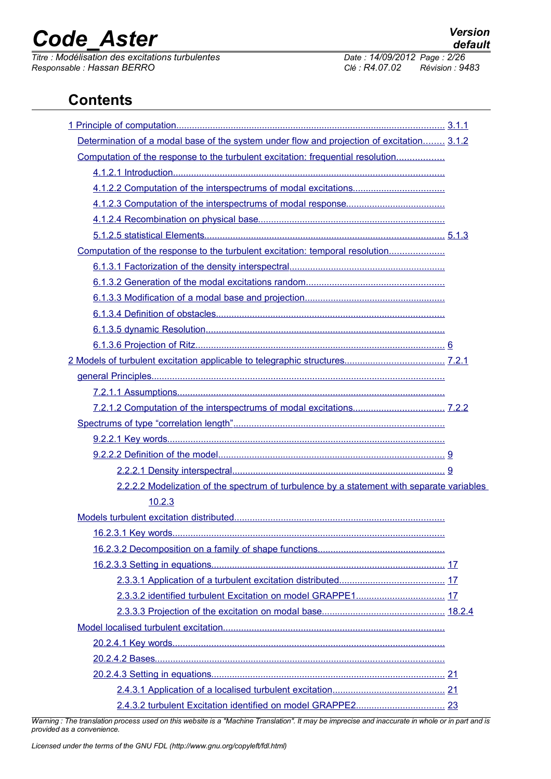*Titre : Modélisation des excitations turbulentes Date : 14/09/2012 Page : 2/26 Responsable : Hassan BERRO Clé : R4.07.02 Révision : 9483*

# **Contents**

| Determination of a modal base of the system under flow and projection of excitation 3.1.2 |  |
|-------------------------------------------------------------------------------------------|--|
| Computation of the response to the turbulent excitation: frequential resolution           |  |
|                                                                                           |  |
|                                                                                           |  |
|                                                                                           |  |
|                                                                                           |  |
|                                                                                           |  |
| Computation of the response to the turbulent excitation: temporal resolution              |  |
|                                                                                           |  |
|                                                                                           |  |
|                                                                                           |  |
|                                                                                           |  |
|                                                                                           |  |
|                                                                                           |  |
|                                                                                           |  |
|                                                                                           |  |
|                                                                                           |  |
|                                                                                           |  |
|                                                                                           |  |
|                                                                                           |  |
|                                                                                           |  |
|                                                                                           |  |
| 2.2.2.2 Modelization of the spectrum of turbulence by a statement with separate variables |  |
| 10.2.3                                                                                    |  |
|                                                                                           |  |
|                                                                                           |  |
|                                                                                           |  |
|                                                                                           |  |
|                                                                                           |  |
|                                                                                           |  |
|                                                                                           |  |
|                                                                                           |  |
|                                                                                           |  |
|                                                                                           |  |
|                                                                                           |  |
|                                                                                           |  |
|                                                                                           |  |

*Warning : The translation process used on this website is a "Machine Translation". It may be imprecise and inaccurate in whole or in part and is provided as a convenience.*

*Licensed under the terms of the GNU FDL (http://www.gnu.org/copyleft/fdl.html)*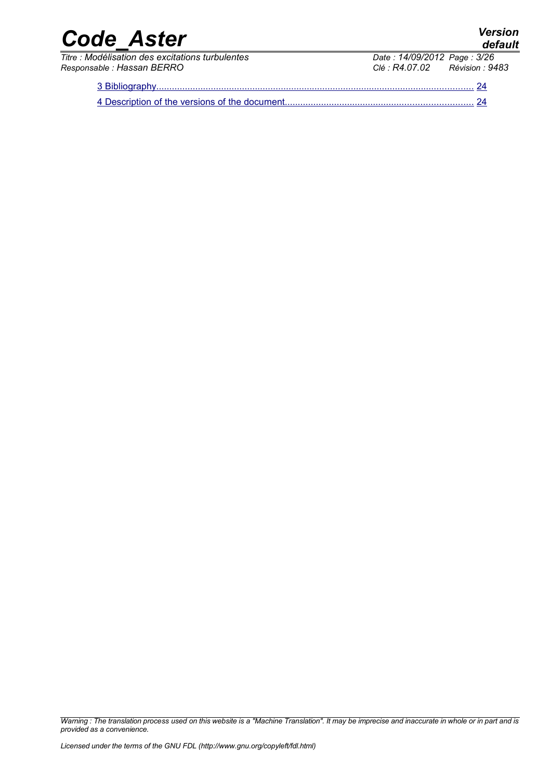*default*

# *Code\_Aster Version*

*Titre : Modélisation des excitations turbulentes Date : 14/09/2012 Page : 3/26 Responsable : Hassan BERRO Clé : R4.07.02 Révision : 9483*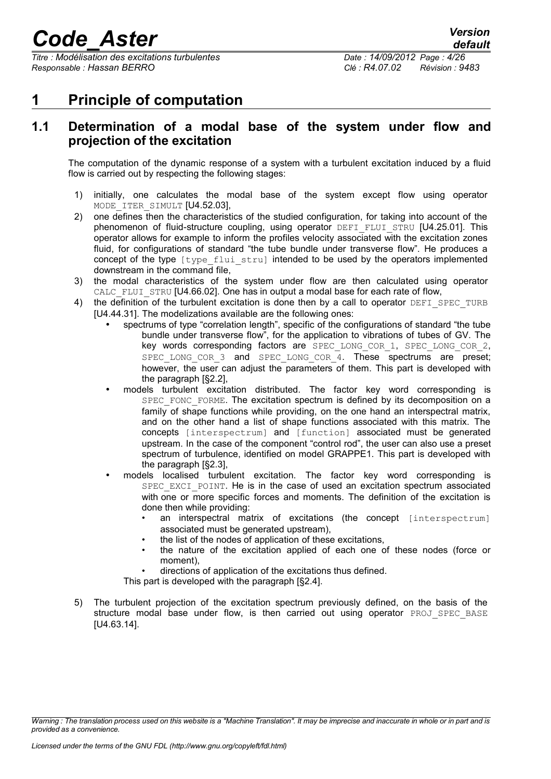*Titre : Modélisation des excitations turbulentes Date : 14/09/2012 Page : 4/26 Responsable : Hassan BERRO Clé : R4.07.02 Révision : 9483*

# <span id="page-3-0"></span>**1 Principle of computation**

# <span id="page-3-1"></span>**1.1 Determination of a modal base of the system under flow and projection of the excitation**

The computation of the dynamic response of a system with a turbulent excitation induced by a fluid flow is carried out by respecting the following stages:

- 1) initially, one calculates the modal base of the system except flow using operator MODE ITER SIMULT [U4.52.03].
- 2) one defines then the characteristics of the studied configuration, for taking into account of the phenomenon of fluid-structure coupling, using operator DEFI\_FLUI\_STRU [U4.25.01]. This operator allows for example to inform the profiles velocity associated with the excitation zones fluid, for configurations of standard "the tube bundle under transverse flow". He produces a concept of the type  $[true]$   $[true]$   $[true]$  intended to be used by the operators implemented downstream in the command file,
- 3) the modal characteristics of the system under flow are then calculated using operator CALC\_FLUI\_STRU [U4.66.02]. One has in output a modal base for each rate of flow,
- 4) the definition of the turbulent excitation is done then by a call to operator DEFI\_SPEC\_TURB [U4.44.31]. The modelizations available are the following ones:
	- spectrums of type "correlation length", specific of the configurations of standard "the tube bundle under transverse flow", for the application to vibrations of tubes of GV. The key words corresponding factors are SPEC LONG COR 1, SPEC LONG COR 2, SPEC LONG COR 3 and SPEC LONG COR 4. These spectrums are preset; however, the user can adjust the parameters of them. This part is developed with the paragraph [§2.2],
	- models turbulent excitation distributed. The factor key word corresponding is SPEC\_FONC\_FORME. The excitation spectrum is defined by its decomposition on a family of shape functions while providing, on the one hand an interspectral matrix, and on the other hand a list of shape functions associated with this matrix. The concepts [interspectrum] and [function] associated must be generated upstream. In the case of the component "control rod", the user can also use a preset spectrum of turbulence, identified on model GRAPPE1. This part is developed with the paragraph [§2.3],
	- models localised turbulent excitation. The factor key word corresponding is SPEC\_EXCI\_POINT. He is in the case of used an excitation spectrum associated with one or more specific forces and moments. The definition of the excitation is done then while providing:
		- an interspectral matrix of excitations (the concept [interspectrum] associated must be generated upstream),
		- the list of the nodes of application of these excitations,
		- the nature of the excitation applied of each one of these nodes (force or moment),
		- directions of application of the excitations thus defined.

This part is developed with the paragraph [§2.4].

5) The turbulent projection of the excitation spectrum previously defined, on the basis of the structure modal base under flow, is then carried out using operator PROJ SPEC BASE [U4.63.14].

*Warning : The translation process used on this website is a "Machine Translation". It may be imprecise and inaccurate in whole or in part and is provided as a convenience.*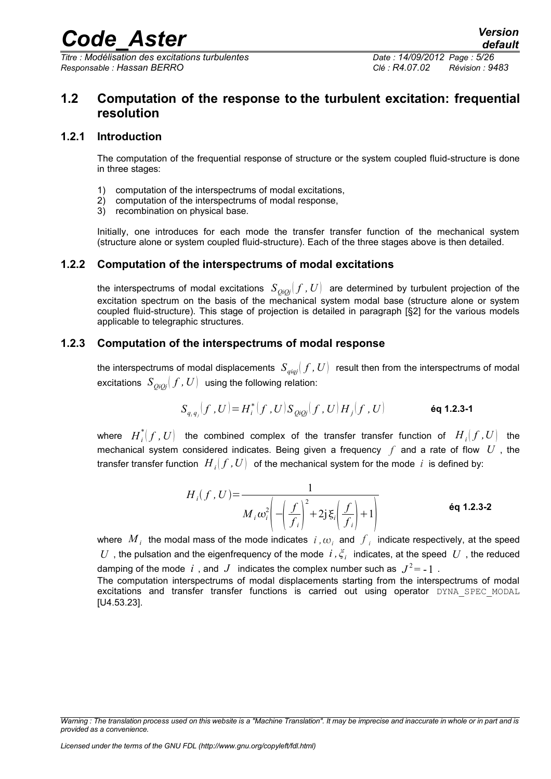*Titre : Modélisation des excitations turbulentes Date : 14/09/2012 Page : 5/26 Responsable : Hassan BERRO Clé : R4.07.02 Révision : 9483*

# <span id="page-4-3"></span>**1.2 Computation of the response to the turbulent excitation: frequential resolution**

### **1.2.1 Introduction**

<span id="page-4-2"></span>The computation of the frequential response of structure or the system coupled fluid-structure is done in three stages:

- 1) computation of the interspectrums of modal excitations,
- 2) computation of the interspectrums of modal response,
- 3) recombination on physical base.

Initially, one introduces for each mode the transfer transfer function of the mechanical system (structure alone or system coupled fluid-structure). Each of the three stages above is then detailed.

### **1.2.2 Computation of the interspectrums of modal excitations**

<span id="page-4-1"></span>the interspectrums of modal excitations  $S_{OiOj}(f, U)$  are determined by turbulent projection of the excitation spectrum on the basis of the mechanical system modal base (structure alone or system coupled fluid-structure). This stage of projection is detailed in paragraph [§2] for the various models applicable to telegraphic structures.

### **1.2.3 Computation of the interspectrums of modal response**

<span id="page-4-0"></span>the interspectrums of modal displacements  $S_{\text{qiaj}}(f, U)$  result then from the interspectrums of modal excitations  $S_{OiQi}(f, U)$  using the following relation:

$$
S_{q_i q_j}(f, U) = H_i^*(f, U) S_{Q_i Q_j}(f, U) H_j(f, U)
$$

where  $\left.H_i^*(f\,,U\right)$  the combined complex of the transfer transfer function of  $\left.H_i(f\,,U\right)$  the mechanical system considered indicates. Being given a frequency *f* and a rate of flow *U* , the transfer transfer function  $\;H_{\,i}[\,f\,,U]\;$  of the mechanical system for the mode  $\;i\;$  is defined by:

$$
H_i(f, U) = \frac{1}{M_i \omega_i^2 \left( -\left( \frac{f}{f_i} \right)^2 + 2j \xi_i \left( \frac{f}{f_i} \right) + 1 \right)}
$$
éq 1.2.3-2

where  $\ M_{\ i}^{}$  the modal mass of the mode indicates  $\ i$  ,  $\omega_{i}^{}$  and  $\ {f}_{i}^{}$  indicate respectively, at the speed  $U$  , the pulsation and the eigenfrequency of the mode  $i$  ,  $\xi_i$  indicates, at the speed  $|U|$ , the reduced damping of the mode  $i$  , and  $J$  indicates the complex number such as  $|J^2=$  -  $1$  .

The computation interspectrums of modal displacements starting from the interspectrums of modal excitations and transfer transfer functions is carried out using operator DYNA SPEC MODAL [U4.53.23].

*Warning : The translation process used on this website is a "Machine Translation". It may be imprecise and inaccurate in whole or in part and is provided as a convenience.*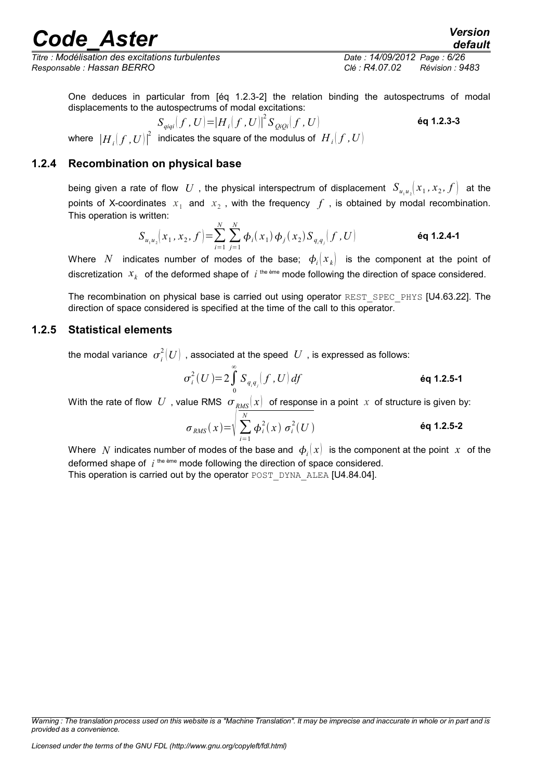*Titre : Modélisation des excitations turbulentes Date : 14/09/2012 Page : 6/26 Responsable : Hassan BERRO Clé : R4.07.02 Révision : 9483*

*default*

One deduces in particular from [éq 1.2.3-2] the relation binding the autospectrums of modal displacements to the autospectrums of modal excitations:

$$
S_{\text{qigi}}(f, U) = |H_i(f, U)|^2 S_{\text{QiQi}}(f, U)
$$
\n6q 1.2.3-3

where  $\left|H_{\ i}(f\,,U)\right|^2$  indicates the square of the modulus of  $\left|H_{\ i}(f\,,U)\right|$ 

### **1.2.4 Recombination on physical base**

<span id="page-5-1"></span>being given a rate of flow  $|U|$ , the physical interspectrum of displacement  $|S_{u_1u_2}|(x_1,x_2,f|)$  at the points of X-coordinates  $x_1$  and  $x_2$ , with the frequency  $f$ , is obtained by modal recombination. This operation is written:

$$
S_{u_1 u_2}[x_1, x_2, f] = \sum_{i=1}^{N} \sum_{j=1}^{N} \phi_i(x_1) \phi_j(x_2) S_{q_i q_j}(f, U)
$$
éq 1.2.4-1

Where N indicates number of modes of the base;  $\phi_i(x_k)$  is the component at the point of discretization  $x_k$  of the deformed shape of  $i$ <sup>the ème</sup> mode following the direction of space considered.

The recombination on physical base is carried out using operator REST\_SPEC\_PHYS [U4.63.22]. The direction of space considered is specified at the time of the call to this operator.

### **1.2.5 Statistical elements**

<span id="page-5-0"></span>the modal variance  $\; \sigma^2_i(U) \;$  , associated at the speed  $\;U\;$  , is expressed as follows:

$$
\sigma_i^2(U) = 2 \int_0^\infty S_{q_i q_j} \big(f, U\big) df
$$

With the rate of flow U, value RMS  $\sigma_{RMS}(x)$  of response in a point x of structure is given by:

$$
\sigma_{RMS}(x) = \sqrt{\sum_{i=1}^{N} \phi_i^2(x) \sigma_i^2(U)}
$$
éq 1.2.5-2

Where  $\ N$  indicates number of modes of the base and  $\ |\phi_i(x)\|$  is the component at the point  $\ x$  of the deformed shape of  $i<sup>the eme</sup>$  mode following the direction of space considered. This operation is carried out by the operator POST\_DYNA\_ALEA [U4.84.04].

*Warning : The translation process used on this website is a "Machine Translation". It may be imprecise and inaccurate in whole or in part and is provided as a convenience.*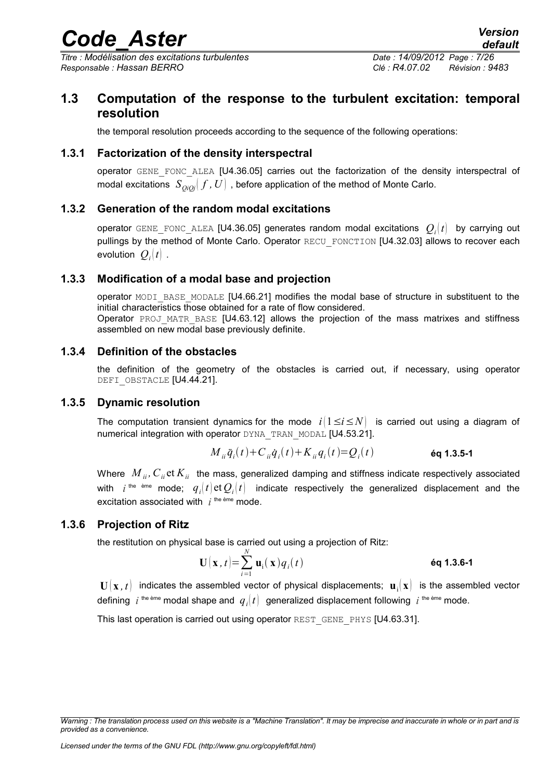*Titre : Modélisation des excitations turbulentes Date : 14/09/2012 Page : 7/26 Responsable : Hassan BERRO Clé : R4.07.02 Révision : 9483*

# **1.3 Computation of the response to the turbulent excitation: temporal resolution**

<span id="page-6-6"></span>the temporal resolution proceeds according to the sequence of the following operations:

### **1.3.1 Factorization of the density interspectral**

<span id="page-6-5"></span>operator GENE\_FONC\_ALEA [U4.36.05] carries out the factorization of the density interspectral of modal excitations  $S_{OiOj}$   $f$ ,  $U$  , before application of the method of Monte Carlo.

### **1.3.2 Generation of the random modal excitations**

<span id="page-6-4"></span>operator <code>GENE\_FONC\_ALEA</code> [U4.36.05] generates random modal excitations  $\left. Q_i(t) \right.$  by carrying out pullings by the method of Monte Carlo. Operator RECU\_FONCTION [U4.32.03] allows to recover each evolution  $\mathcal{Q}_i(t)$  .

### **1.3.3 Modification of a modal base and projection**

<span id="page-6-3"></span>operator MODI\_BASE\_MODALE [U4.66.21] modifies the modal base of structure in substituent to the initial characteristics those obtained for a rate of flow considered. Operator PROJ MATR BASE [U4.63.12] allows the projection of the mass matrixes and stiffness assembled on new modal base previously definite.

#### **1.3.4 Definition of the obstacles**

<span id="page-6-2"></span>the definition of the geometry of the obstacles is carried out, if necessary, using operator DEFI\_OBSTACLE [U4.44.21].

### **1.3.5 Dynamic resolution**

<span id="page-6-1"></span>The computation transient dynamics for the mode  $i/1 \le i \le N$  is carried out using a diagram of numerical integration with operator DYNA\_TRAN\_MODAL [U4.53.21].

$$
M_{ii}\ddot{q}_i(t) + C_{ii}\dot{q}_i(t) + K_{ii}q_i(t) = Q_i(t)
$$
\n6q 1.3.5-1

Where  $M_{ii}$ ,  $C_{ii}$  et  $K_{ii}$  the mass, generalized damping and stiffness indicate respectively associated with  $i$  <sup>the ème</sup> mode;  $q_i(t)$ et $\mathcal{Q}_i(t)$  indicate respectively the generalized displacement and the excitation associated with  $i^{th$ <sup>e ème</sup> mode.

### **1.3.6 Projection of Ritz**

<span id="page-6-0"></span>the restitution on physical base is carried out using a projection of Ritz:

$$
\mathbf{U}(\mathbf{x},t)=\sum_{i=1}^{N}\mathbf{u}_{i}(\mathbf{x})q_{i}(t)
$$
éq 1.3.6-1

 $\mathbf{U}(\mathbf{x},t)$  indicates the assembled vector of physical displacements;  $\mathbf{u}_i(\mathbf{x})$  is the assembled vector defining  $\;i^{\rm\,the\,eme}\;$ modal shape and  $\;q_i(t)\;$  generalized displacement following  $\;i^{\rm\,the\,eme}\;$ mode.

This last operation is carried out using operator REST\_GENE\_PHYS [U4.63.31].

*Warning : The translation process used on this website is a "Machine Translation". It may be imprecise and inaccurate in whole or in part and is provided as a convenience.*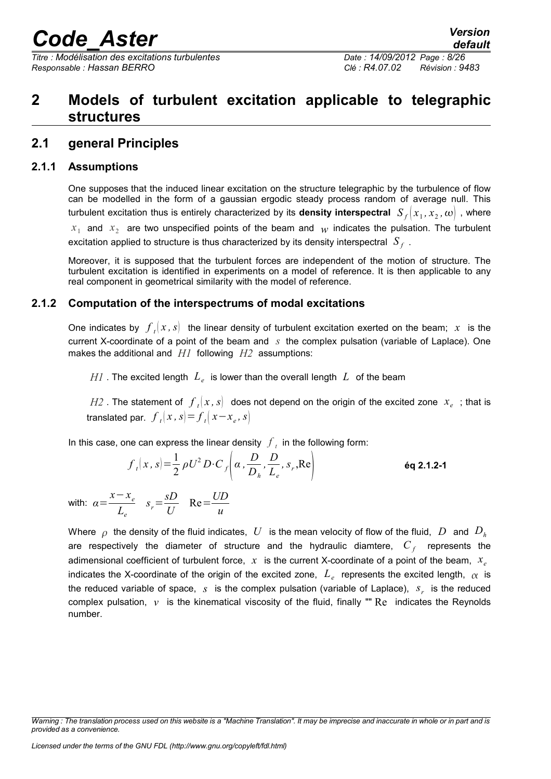*Titre : Modélisation des excitations turbulentes Date : 14/09/2012 Page : 8/26 Responsable : Hassan BERRO Clé : R4.07.02 Révision : 9483*

# <span id="page-7-3"></span>**2 Models of turbulent excitation applicable to telegraphic structures**

# <span id="page-7-2"></span>**2.1 general Principles**

## **2.1.1 Assumptions**

<span id="page-7-1"></span>One supposes that the induced linear excitation on the structure telegraphic by the turbulence of flow can be modelled in the form of a gaussian ergodic steady process random of average null. This turbulent excitation thus is entirely characterized by its **density interspectral**  $\ S_{_f}[x_1, x_2, \omega]$  , where

 $x_1$  and  $x_2$  are two unspecified points of the beam and  $w$  indicates the pulsation. The turbulent excitation applied to structure is thus characterized by its density interspectral  $|S_{\overline{f}}|$ .

Moreover, it is supposed that the turbulent forces are independent of the motion of structure. The turbulent excitation is identified in experiments on a model of reference. It is then applicable to any real component in geometrical similarity with the model of reference.

# **2.1.2 Computation of the interspectrums of modal excitations**

<span id="page-7-0"></span>One indicates by  $\left| f_{i}(x, s) \right|$  the linear density of turbulent excitation exerted on the beam;  $x$  is the current X-coordinate of a point of the beam and *s* the complex pulsation (variable of Laplace). One makes the additional and *H1* following *H2* assumptions:

 $H$ *I* . The excited length  $\,L_e\,$  is lower than the overall length  $\,L\,$  of the beam

 $H2$  . The statement of  $\left. f_{\textit{t}}(x,s)\right\vert$  does not depend on the origin of the excited zone  $\left. x_{e}\right\vert$  ; that is  ${\rm translated}$  par.  $\left| f_{t}(x, s) \right| = f_{t}(x - x_{e}, s)$ 

In this case, one can express the linear density  $\left|f\right|_t$  in the following form:

$$
f_t(x,s) = \frac{1}{2} \rho U^2 D \cdot C_f\left(\alpha, \frac{D}{D_h}, \frac{D}{L_e}, s_r, \text{Re}\right)
$$

with:  $\alpha = \frac{x - x_e}{x_e}$ *Le*  $s_r = \frac{sD}{U}$ *U*  $Re = \frac{UD}{ }$ *u*

Where  $\rho$  the density of the fluid indicates, *U* is the mean velocity of flow of the fluid, *D* and  $D_h$ are respectively the diameter of structure and the hydraulic diamtere,  $C_{\overline{f}}$  represents the adimensional coefficient of turbulent force, *x* is the current X-coordinate of a point of the beam, *x<sup>e</sup>* indicates the X-coordinate of the origin of the excited zone,  $|L_e|$  represents the excited length,  $|\alpha|$  is the reduced variable of space, *s* is the complex pulsation (variable of Laplace), *s<sup>r</sup>* is the reduced complex pulsation, *ν* is the kinematical viscosity of the fluid, finally "" Re indicates the Reynolds number.

*Warning : The translation process used on this website is a "Machine Translation". It may be imprecise and inaccurate in whole or in part and is provided as a convenience.*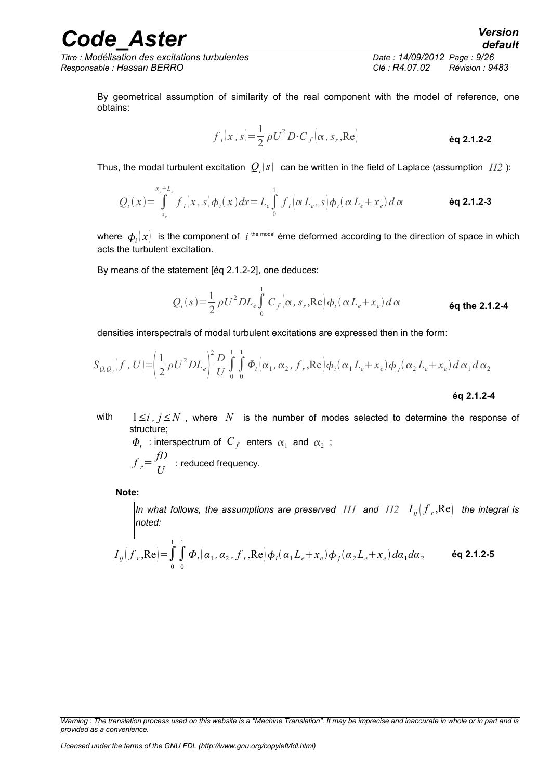*Titre : Modélisation des excitations turbulentes Date : 14/09/2012 Page : 9/26 Responsable : Hassan BERRO Clé : R4.07.02 Révision : 9483*

By geometrical assumption of similarity of the real component with the model of reference, one obtains:

$$
f_t(x,s) = \frac{1}{2} \rho U^2 D \cdot C_f(\alpha, s_r, \text{Re})
$$

Thus, the modal turbulent excitation  $\,\mathcal{Q}_i(s)\,$  can be written in the field of Laplace (assumption  $\,H\!2$  ):

$$
Q_i(x) = \int_{x_e}^{x_e + L_e} f_i(x, s) \phi_i(x) dx = L_e \int_0^1 f_i(\alpha L_e, s) \phi_i(\alpha L_e + x_e) d\alpha
$$
 6q 2.1.2-3

where  $\ket{\phi_i(x)}$  is the component of  $\,$  i<sup>, the modal</sup> ème deformed according to the direction of space in which acts the turbulent excitation.

By means of the statement [éq 2.1.2-2], one deduces:

$$
Q_i(s) = \frac{1}{2} \rho U^2 D L_e \int_0^1 C_f(\alpha, s_r, \text{Re}) \phi_i(\alpha L_e + x_e) d\alpha
$$

densities interspectrals of modal turbulent excitations are expressed then in the form:

$$
S_{Q,Q_j}(f, U) = \left(\frac{1}{2}\rho U^2 D L_e\right)^2 \frac{D}{U} \int_0^1 \int_0^1 \Phi_t(\alpha_1, \alpha_2, f_r, \text{Re}) \phi_i(\alpha_1 L_e + x_e) \phi_j(\alpha_2 L_e + x_e) d\alpha_1 d\alpha_2
$$
  
6q 2.1.2-4

with  $1 \le i, j \le N$ , where N is the number of modes selected to determine the response of structure;

 $\varPhi$ <sub>t</sub> : interspectrum of  $C$ <sub>f</sub> enters  $\alpha_1$  and  $\alpha_2$  ;  $f_r = \frac{fD}{U}$  $\frac{U}{U}$  : reduced frequency.

**Note:**

*In what follows, the assumptions are preserved*  $\ H1$  *and*  $\ H2$  $\ I_{ij} \bigl( f_{\ r} , {\rm Re} \bigr)$  *the integral is noted:*

$$
I_{ij}\left(f_r, \text{Re}\right) = \int_{0}^{1} \int_{0}^{1} \Phi_t\left(\alpha_1, \alpha_2, f_r, \text{Re}\right) \phi_i\left(\alpha_1 L_e + x_e\right) \phi_j\left(\alpha_2 L_e + x_e\right) d\alpha_1 d\alpha_2 \qquad \text{Eq 2.1.2-5}
$$

*Warning : The translation process used on this website is a "Machine Translation". It may be imprecise and inaccurate in whole or in part and is provided as a convenience.*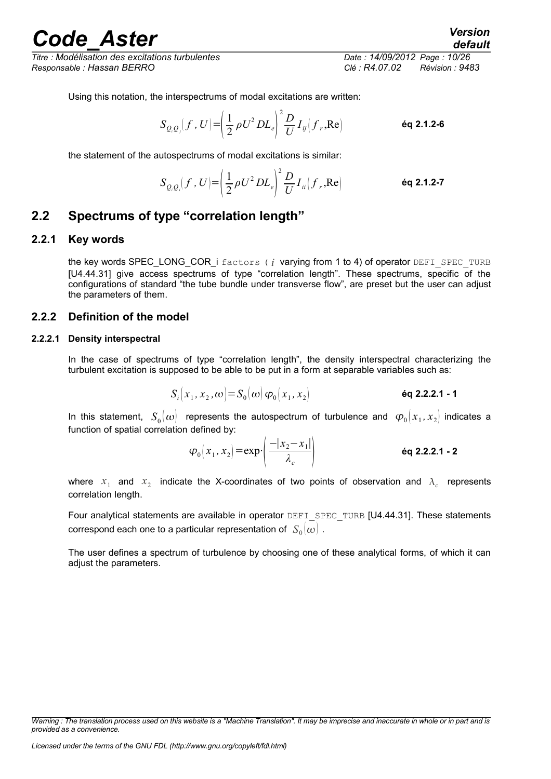*Titre : Modélisation des excitations turbulentes Date : 14/09/2012 Page : 10/26 Responsable : Hassan BERRO Clé : R4.07.02 Révision : 9483*

*default*

Using this notation, the interspectrums of modal excitations are written:

$$
S_{Q_i Q_j}(f, U) = \left(\frac{1}{2} \rho U^2 D L_e\right)^2 \frac{D}{U} I_{ij} (f_r, Re)
$$

the statement of the autospectrums of modal excitations is similar:

$$
S_{Q_iQ_i}(f, U) = \left(\frac{1}{2}\rho U^2 D L_e\right)^2 \frac{D}{U} I_{ii}(f_r, \text{Re})
$$

# <span id="page-9-3"></span>**2.2 Spectrums of type "correlation length"**

#### **2.2.1 Key words**

<span id="page-9-2"></span>the key words SPEC\_LONG\_COR\_i factors ( $i$  varying from 1 to 4) of operator DEFI\_SPEC\_TURB [U4.44.31] give access spectrums of type "correlation length". These spectrums, specific of the configurations of standard "the tube bundle under transverse flow", are preset but the user can adjust the parameters of them.

#### <span id="page-9-1"></span>**2.2.2 Definition of the model**

#### **2.2.2.1 Density interspectral**

<span id="page-9-0"></span>In the case of spectrums of type "correlation length", the density interspectral characterizing the turbulent excitation is supposed to be able to be put in a form at separable variables such as:

$$
S_i(x_1, x_2, \omega) = S_0(\omega) \varphi_0(x_1, x_2)
$$

In this statement,  $S_0(\omega)$  represents the autospectrum of turbulence and  $\varphi_0(x_1, x_2)$  indicates a function of spatial correlation defined by:

$$
\varphi_0\big(x_1, x_2\big) = \exp\left(\frac{-|x_2 - x_1|}{\lambda_c}\right) \qquad \text{Eq 2.2.2.1 - 2}
$$

where  $x_1$  and  $x_2$  indicate the X-coordinates of two points of observation and  $\lambda_c$  represents correlation length.

Four analytical statements are available in operator DEFI\_SPEC\_TURB [U4.44.31]. These statements correspond each one to a particular representation of  $\ S_{0}(\omega)$  .

The user defines a spectrum of turbulence by choosing one of these analytical forms, of which it can adiust the parameters.

*Warning : The translation process used on this website is a "Machine Translation". It may be imprecise and inaccurate in whole or in part and is provided as a convenience.*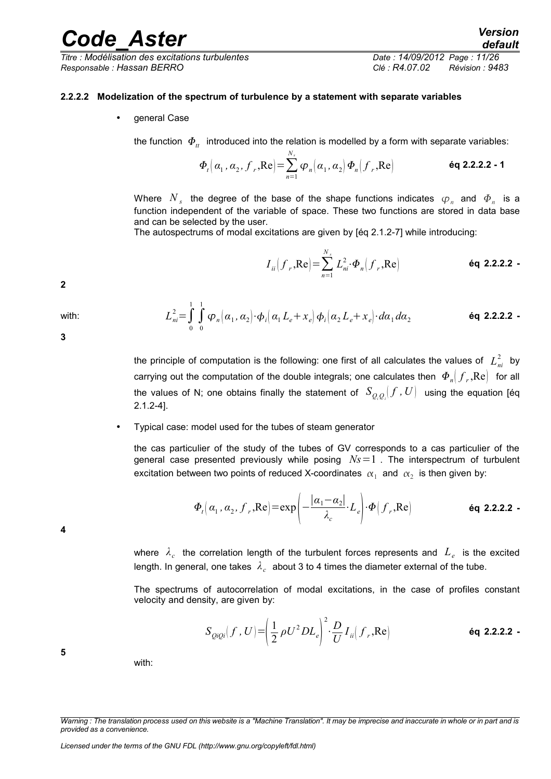*Titre : Modélisation des excitations turbulentes Date : 14/09/2012 Page : 11/26 Responsable : Hassan BERRO Clé : R4.07.02 Révision : 9483*

#### **2.2.2.2 Modelization of the spectrum of turbulence by a statement with separate variables**

<span id="page-10-0"></span>• general Case

the function  $\Phi_{tt}$  introduced into the relation is modelled by a form with separate variables:

$$
\boldsymbol{\Phi}_{t}\left(\alpha_{1},\alpha_{2},\boldsymbol{f}_{r},\boldsymbol{\text{Re}}\right)=\sum_{n=1}^{N_{s}}\boldsymbol{\varphi}_{n}\left(\alpha_{1},\alpha_{2}\right)\boldsymbol{\Phi}_{n}\left(\boldsymbol{f}_{r},\boldsymbol{\text{Re}}\right)
$$
\n
$$
\boldsymbol{\text{eq 2.2.2.2 - 1}}
$$

Where  $N_{s}$  the degree of the base of the shape functions indicates  $\bm{\varphi}_{n}$  and  $\bm{\varPhi}_{n}$  is a function independent of the variable of space. These two functions are stored in data base and can be selected by the user.

The autospectrums of modal excitations are given by [éq 2.1.2-7] while introducing:

$$
I_{ii}\left(f_r, \text{Re}\right) = \sum_{n=1}^{N_s} L_{ni}^2 \cdot \boldsymbol{\Phi}_n\left(f_r, \text{Re}\right) \qquad \text{Eq 2.2.2.2}
$$

**2**

**3**

**4**

**5**

with: 
$$
L_{ni}^{2} = \int_{0}^{1} \int_{0}^{1} \varphi_{n}(\alpha_{1}, \alpha_{2}) \cdot \varphi_{i}(\alpha_{1} L_{e} + x_{e}) \varphi_{i}(\alpha_{2} L_{e} + x_{e}) \cdot d\alpha_{1} d\alpha_{2}
$$

the principle of computation is the following: one first of all calculates the values of  $|L_{ni}^2|$  by carrying out the computation of the double integrals; one calculates then  $\varPhi_n[f_r,\text{Re}]$  for all the values of N; one obtains finally the statement of  $\ S_{\mathcal{Q},\mathcal{Q}_i}[f\, ,U]$  using the equation [éq 2.1.2-4].

#### • Typical case: model used for the tubes of steam generator

the cas particulier of the study of the tubes of GV corresponds to a cas particulier of the general case presented previously while posing *Ns*=1 . The interspectrum of turbulent excitation between two points of reduced X-coordinates  $\vert\alpha_1\vert$  and  $\vert\alpha_2\vert$  is then given by:

$$
\boldsymbol{\Phi}_{t}\left(\alpha_{1},\alpha_{2},\boldsymbol{f}_{r},\boldsymbol{\mathrm{Re}}\right)=\exp\left(-\frac{\left|\alpha_{1}-\alpha_{2}\right|}{\lambda_{c}}\cdot\boldsymbol{L}_{e}\right)\cdot\boldsymbol{\Phi}\left(\boldsymbol{f}_{r},\boldsymbol{\mathrm{Re}}\right)
$$
\n**Eq 2.2.2.2**

where *λ<sup>c</sup>* the correlation length of the turbulent forces represents and *L<sup>e</sup>* is the excited length. In general, one takes  $\vert\lambda_{c}\vert$  about 3 to 4 times the diameter external of the tube.

The spectrums of autocorrelation of modal excitations, in the case of profiles constant velocity and density, are given by:

$$
S_{QiQi}(f,U) = \left(\frac{1}{2}\rho U^2 DL_e\right)^2 \cdot \frac{D}{U} I_{ii}(f_r, \text{Re})
$$

with:

*Warning : The translation process used on this website is a "Machine Translation". It may be imprecise and inaccurate in whole or in part and is provided as a convenience.*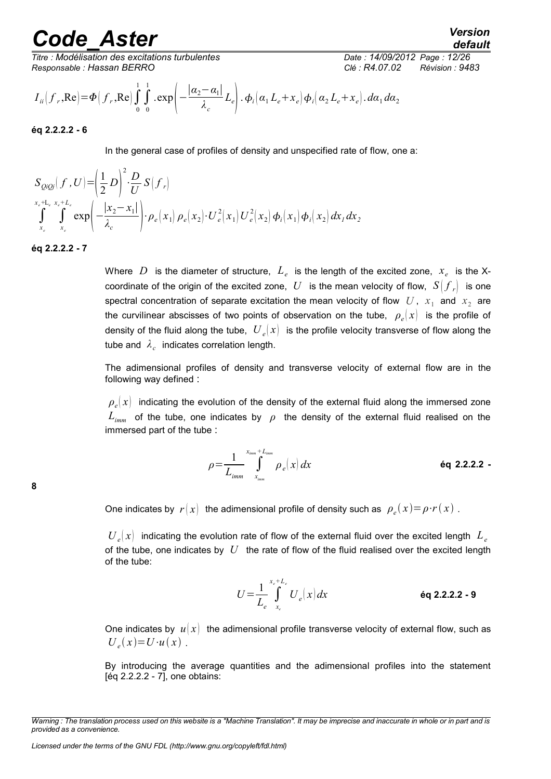*Titre : Modélisation des excitations turbulentes Date : 14/09/2012 Page : 12/26 Responsable : Hassan BERRO Clé : R4.07.02 Révision : 9483*

$$
I_{ii}\left(f_r, \text{Re}\right) = \Phi\left(f_r, \text{Re}\right) \int\limits_{0}^{1} \int\limits_{0}^{1} \text{exp}\left(-\frac{|\alpha_2 - \alpha_1|}{\lambda_c} L_e\right) \cdot \phi_i\left(\alpha_1 L_e + x_e\right) \phi_i\left(\alpha_2 L_e + x_e\right) \cdot d\alpha_1 d\alpha_2
$$

**éq 2.2.2.2 - 6**

In the general case of profiles of density and unspecified rate of flow, one a:

$$
S_{\mathcal{Q}i\mathcal{Q}j}(f, U) = \left(\frac{1}{2}D\right)^2 \cdot \frac{D}{U} S(f_r)
$$
  

$$
\int_{x_e+L_e}^{x_e+L_e} \sum_{x_e}^{x_e+L_e} \exp\left(-\frac{|x_2-x_1|}{\lambda_c}\right) \cdot \rho_e(x_1) \rho_e(x_2) \cdot U_e^2(x_1) U_e^2(x_2) \phi_i(x_1) \phi_i(x_2) dx_1 dx_2
$$

**éq 2.2.2.2 - 7**

Where  $D$  is the diameter of structure,  $L_e$  is the length of the excited zone,  $x_e$  is the Xcoordinate of the origin of the excited zone,  $|U|$  is the mean velocity of flow,  $|S\big|{f}_{r}\big|$  is one spectral concentration of separate excitation the mean velocity of flow  $|U|$ ,  $|x_1|$  and  $|x_2|$  are the curvilinear abscisses of two points of observation on the tube,  $\,\,\rho_{\it e}^{}(x)\,\,$  is the profile of density of the fluid along the tube,  $\left. U_{\,e} \right| x \right| \,$  is the profile velocity transverse of flow along the tube and  $\,\lambda_c^{}\,$  indicates correlation length.

The adimensional profiles of density and transverse velocity of external flow are in the following way defined :

 $\rho_{_e} \! (x) \;$  indicating the evolution of the density of the external fluid along the immersed zone *Limm* of the tube, one indicates by *ρ* the density of the external fluid realised on the immersed part of the tube :

$$
\rho = \frac{1}{L_{imm}} \int_{x_{imm}}^{x_{imm}} \rho_e(x) \, dx \tag{6q 2.2.2.2 -}
$$

One indicates by  $r(x)$  the adimensional profile of density such as  $\rho_e(x) = \rho \cdot r(x)$  .

 $U_e(x)$  indicating the evolution rate of flow of the external fluid over the excited length  $L_e$ of the tube, one indicates by *U* the rate of flow of the fluid realised over the excited length of the tube:

$$
U = \frac{1}{L_e} \int_{x_e}^{x_e + L_e} U_e(x) dx
$$
éq 2.2.2 - 9

One indicates by  $u(x)$  the adimensional profile transverse velocity of external flow, such as  $U_e(x) = U \cdot u(x)$ .

By introducing the average quantities and the adimensional profiles into the statement [éq 2.2.2.2 - 7], one obtains:

*Warning : The translation process used on this website is a "Machine Translation". It may be imprecise and inaccurate in whole or in part and is provided as a convenience.*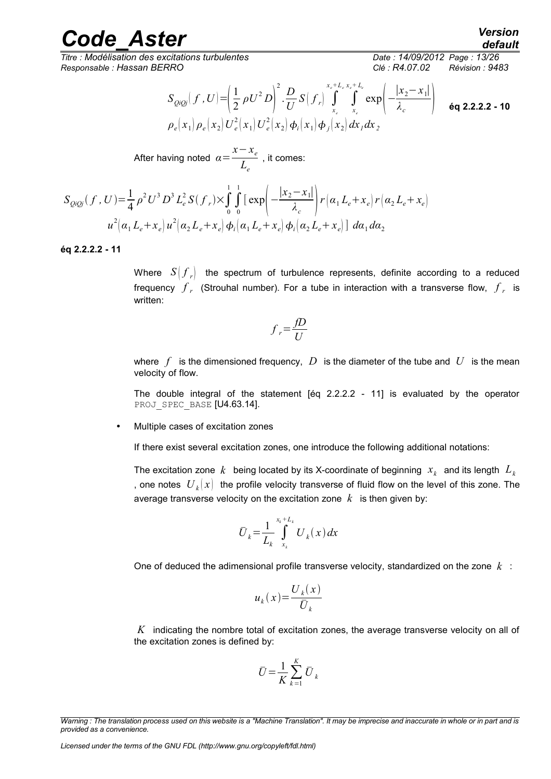*Titre : Modélisation des excitations turbulentes Date : 14/09/2012 Page : 13/26 Responsable : Hassan BERRO Clé : R4.07.02 Révision : 9483*

$$
S_{QiQj}(f, U) = \left(\frac{1}{2} \rho U^2 D\right)^2 \cdot \frac{D}{U} S(f_r) \int_{x_c}^{x_c + L_c} \int_{x_c}^{x_c + L_c} \exp\left(-\frac{|x_2 - x_1|}{\lambda_c}\right) \quad \text{Eq 2.2.2.2 - 10}
$$
  

$$
\rho_e(x_1) \rho_e(x_2) U_e^2(x_1) U_e^2(x_2) \phi_i(x_1) \phi_j(x_2) dx_1 dx_2
$$

After having noted 
$$
\alpha = \frac{x - x_e}{L_e}
$$
, it comes:

$$
S_{QiQj}(f, U) = \frac{1}{4} \rho^2 U^3 D^3 L_e^2 S(f_r) \times \int_0^1 \int_0^1 \left[ \exp\left(-\frac{|x_2 - x_1|}{\lambda_c}\right) r \left(\alpha_1 L_e + x_e\right) r \left(\alpha_2 L_e + x_e\right) \right]
$$
  

$$
u^2 \left(\alpha_1 L_e + x_e\right) u^2 \left(\alpha_2 L_e + x_e\right) \phi_i \left(\alpha_1 L_e + x_e\right) \phi_i \left(\alpha_2 L_e + x_e\right) \cdot d\alpha_1 d\alpha_2
$$

#### **éq 2.2.2.2 - 11**

Where  $S\bigl({f}_{r}\bigr)$  the spectrum of turbulence represents, definite according to a reduced frequency  $f_{r}$  (Strouhal number). For a tube in interaction with a transverse flow,  $\overline{f}_{r}$  is written:

$$
f_r = \frac{fD}{U}
$$

where  $f$  is the dimensioned frequency,  $D$  is the diameter of the tube and  $U$  is the mean velocity of flow.

The double integral of the statement [éq 2.2.2.2 - 11] is evaluated by the operator PROJ SPEC BASE [U4.63.14].

• Multiple cases of excitation zones

If there exist several excitation zones, one introduce the following additional notations:

The excitation zone  $\,k\,$  being located by its X-coordinate of beginning  $\,x_{k}\,$  and its length  $\,L_{k}\,$ , one notes  $\;{U}_k(x)\;$  the profile velocity transverse of fluid flow on the level of this zone. The average transverse velocity on the excitation zone  $k$  is then given by:

$$
\bar{U}_k = \frac{1}{L_k} \int_{x_k}^{x_k + L_k} U_k(x) \, dx
$$

One of deduced the adimensional profile transverse velocity, standardized on the zone *k* :

$$
u_k(x) = \frac{U_k(x)}{U_k}
$$

*K* indicating the nombre total of excitation zones, the average transverse velocity on all of the excitation zones is defined by:

$$
\bar{U} = \frac{1}{K} \sum_{k=1}^{K} \bar{U}_k
$$

*Licensed under the terms of the GNU FDL (http://www.gnu.org/copyleft/fdl.html)*

*Warning : The translation process used on this website is a "Machine Translation". It may be imprecise and inaccurate in whole or in part and is provided as a convenience.*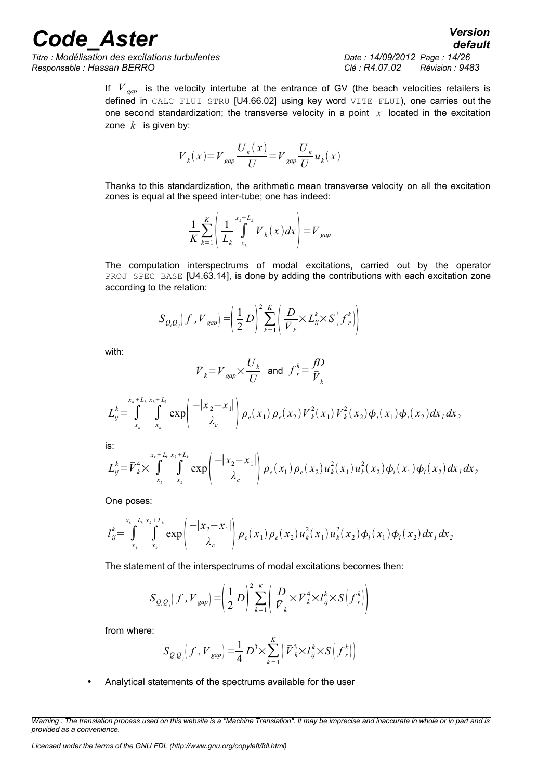*Titre : Modélisation des excitations turbulentes Date : 14/09/2012 Page : 14/26 Responsable : Hassan BERRO Clé : R4.07.02 Révision : 9483*

*default*

If  $V_{\text{gan}}$  is the velocity intertube at the entrance of GV (the beach velocities retailers is defined in CALC\_FLUI\_STRU [U4.66.02] using key word VITE\_FLUI), one carries out the one second standardization; the transverse velocity in a point  $x$  located in the excitation zone  $k$  is given by:

$$
V_{k}(x) = V_{gap} \frac{U_{k}(x)}{U} = V_{gap} \frac{U_{k}}{U} u_{k}(x)
$$

Thanks to this standardization, the arithmetic mean transverse velocity on all the excitation zones is equal at the speed inter-tube; one has indeed:

$$
\frac{1}{K} \sum_{k=1}^{K} \left( \frac{1}{L_k} \int_{x_k}^{x_k + L_k} V_k(x) dx \right) = V_{gap}
$$

The computation interspectrums of modal excitations, carried out by the operator PROJ\_SPEC\_BASE [U4.63.14], is done by adding the contributions with each excitation zone according to the relation:

$$
S_{Q,Q} (f, V_{gap}) = \left(\frac{1}{2} D\right)^2 \sum_{k=1}^K \left(\frac{D}{\overline{V}_k} \times L_{ij}^k \times S\left(f_r^k\right)\right)
$$

with:

$$
\bar{\boldsymbol{V}}_{k} \hspace{-0.05cm}=\hspace{-0.05cm} \boldsymbol{V}_{gap} \hspace{-0.05cm}\times \hspace{-0.05cm} \frac{\boldsymbol{U}_{k}}{\boldsymbol{U}} \hspace{0.2cm}\text{and}\hspace{0.2cm} \boldsymbol{f}^{k}_{r} \hspace{-0.05cm}=\hspace{-0.05cm} \frac{\boldsymbol{f}\boldsymbol{D}}{\boldsymbol{\bar{V}}_{k}}
$$

$$
L_{ij}^{k} = \int_{x_{k}}^{x_{k}+L_{k}} \int_{x_{k}}^{x_{k}+L_{k}} \exp\left(\frac{-|x_{2}-x_{1}|}{\lambda_{c}}\right) \rho_{e}(x_{1}) \rho_{e}(x_{2}) V_{k}^{2}(x_{1}) V_{k}^{2}(x_{2}) \phi_{i}(x_{1}) \phi_{i}(x_{2}) dx_{1} dx_{2}
$$

is:

$$
L_{ij}^{k} = \bar{V}_{k}^{4} \times \int_{x_{k}}^{x_{k}+L_{k}} \int_{x_{k}}^{x_{k}+L_{k}} \exp\left(\frac{-|x_{2}-x_{1}|}{\lambda_{c}}\right) \rho_{e}(x_{1}) \rho_{e}(x_{2}) u_{k}^{2}(x_{1}) u_{k}^{2}(x_{2}) \phi_{i}(x_{1}) \phi_{i}(x_{2}) dx_{1} dx_{2}
$$

One poses:

$$
l_{ij}^k = \int_{x_k}^{x_k + L_k} \int_{x_k}^{x_k + L_k} \exp\left(\frac{-|x_2 - x_1|}{\lambda_c}\right) \rho_e(x_1) \rho_e(x_2) u_k^2(x_1) u_k^2(x_2) \phi_i(x_1) \phi_i(x_2) dx_1 dx_2
$$

The statement of the interspectrums of modal excitations becomes then:

$$
S_{Q_iQ_j}(f, V_{gap}) = \left(\frac{1}{2}D\right)^2 \sum_{k=1}^K \left(\frac{D}{\overline{V}_k} \times \overline{V}_k^4 \times \overline{I}_{ij}^k \times S\left(f_r^k\right)\right)
$$

from where:

$$
S_{Q_iQ_j}(f, V_{gap}) = \frac{1}{4} D^3 \times \sum_{k=1}^K \left( \overline{V}_k^3 \times l_{ij}^k \times S \left( f_r^k \right) \right)
$$

• Analytical statements of the spectrums available for the user

*Warning : The translation process used on this website is a "Machine Translation". It may be imprecise and inaccurate in whole or in part and is provided as a convenience.*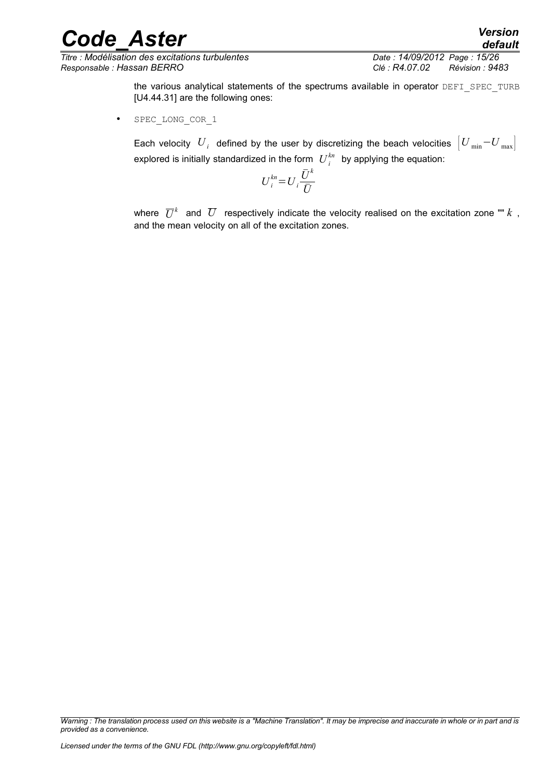*Titre : Modélisation des excitations turbulentes Date : 14/09/2012 Page : 15/26 Responsable : Hassan BERRO Clé : R4.07.02 Révision : 9483*

*default*

the various analytical statements of the spectrums available in operator DEFI\_SPEC\_TURB [U4.44.31] are the following ones:

SPEC LONG COR 1

Each velocity  $|U_{i}|$  defined by the user by discretizing the beach velocities  $\left|U_{\min}\text{--}U_{\max}\right|$ explored is initially standardized in the form  $\;U^{kn}_i\;$  by applying the equation:

$$
U_i^{kn} = U_i \frac{\bar{U}^k}{\bar{U}}
$$

where  $\,\overline{U}^k\,$  and  $\,\overline{U}\,$  respectively indicate the velocity realised on the excitation zone ""  $k\,$  , and the mean velocity on all of the excitation zones.

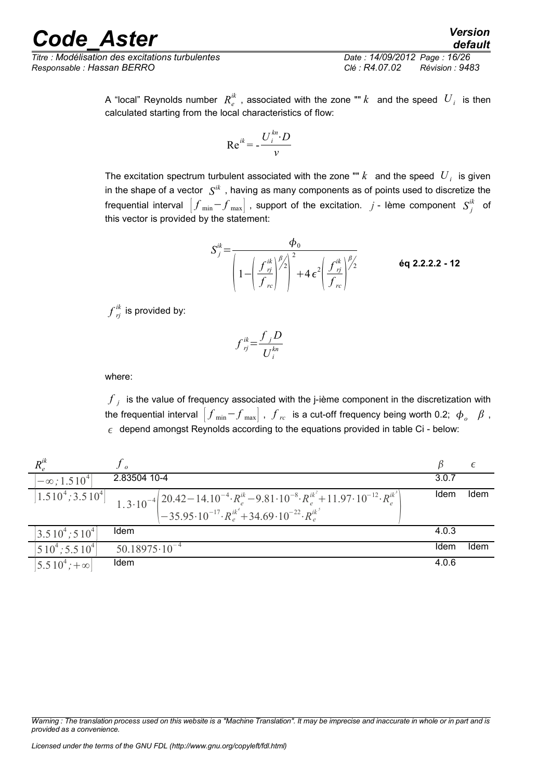*Titre : Modélisation des excitations turbulentes Date : 14/09/2012 Page : 16/26 Responsable : Hassan BERRO Clé : R4.07.02 Révision : 9483*

A "local" Reynolds number  $\ R_e^{ik}$  , associated with the zone ""  $k$  and the speed  $\ U_i$  is then calculated starting from the local characteristics of flow:

$$
Re^{ik} = -\frac{U_i^{kn} \cdot D}{\nu}
$$

The excitation spectrum turbulent associated with the zone ""  $k$  and the speed  $|U_{\,i}\>$  is given in the shape of a vector  $\,\,S^{ik}\,$  , having as many components as of points used to discretize the frequential interval  $\left[ f_{\text{ min}} {-} f_{\text{ max}} \right]$  , support of the excitation.  $j$  - Ième component  $\left. S_{j}^{ik} \right.$  of this vector is provided by the statement:

$$
S_j^{ik} = \frac{\phi_0}{\left(1 - \left(\frac{f_{\eta j}^{ik}}{f_{\text{rc}}}\right)^{\beta/2}\right)^2 + 4\epsilon^2 \left(\frac{f_{\eta j}^{ik}}{f_{\text{rc}}}\right)^{\beta/2}}
$$
 6q 2.2.2.2 - 12

 $f\frac{ik}{rj}$  is provided by:

$$
f_{rj}^{ik} = \frac{f_j D}{U_i^{kn}}
$$

where:

 ${{f}}_{j}$  is the value of frequency associated with the j-ième component in the discretization with the frequential interval  $\left|f_{\text{ min}}{-}f_{\text{ max}}\right|$  ,  ${f}_{rc}$  is a cut-off frequency being worth 0.2;  $\,\bm{\phi}_o$   $\,\,\beta$  ,  $\epsilon$  depend amongst Reynolds according to the equations provided in table Ci - below:

| $R_{a}^{ik}$                      |                                                                                                                                                                                                                                                    |       |      |
|-----------------------------------|----------------------------------------------------------------------------------------------------------------------------------------------------------------------------------------------------------------------------------------------------|-------|------|
| $\left[-\infty, 1.510^{4}\right]$ | 2.83504 10-4                                                                                                                                                                                                                                       | 3.0.7 |      |
|                                   | $\begin{bmatrix} 1.510^4; 3.510^4 \end{bmatrix}$ $\begin{bmatrix} 1.3 \cdot 10^{-4} \end{bmatrix}$ $\begin{bmatrix} 20.42 - 14.10^{-4} \cdot R_e^{ik} - 9.81 \cdot 10^{-8} \cdot R_e^{ik^2} + 11.97 \cdot 10^{-12} \cdot R_e^{ik^3} \end{bmatrix}$ | Idem  | Idem |
|                                   |                                                                                                                                                                                                                                                    |       |      |
| $ 3.510^4; 510^4 $                | Idem                                                                                                                                                                                                                                               | 4.0.3 |      |
| $ 510^4; 5.510^4 $                | $50.18975 \cdot 10^{-4}$                                                                                                                                                                                                                           | Idem  | Idem |
| $5.510^{4}$ ; + $\infty$          | Idem                                                                                                                                                                                                                                               | 4.0.6 |      |

*Warning : The translation process used on this website is a "Machine Translation". It may be imprecise and inaccurate in whole or in part and is provided as a convenience.*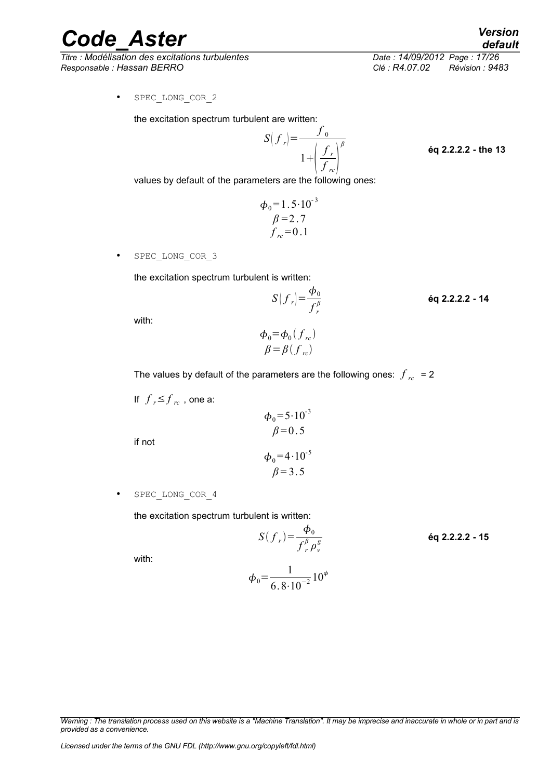*Titre : Modélisation des excitations turbulentes Date : 14/09/2012 Page : 17/26 Responsable : Hassan BERRO Clé : R4.07.02 Révision : 9483*

*Code\_Aster Version default*

• SPEC\_LONG\_COR\_2

the excitation spectrum turbulent are written:

$$
S(f_r) = \frac{f_0}{1 + \left(\frac{f_r}{f_{rc}}\right)^{\beta}}
$$

**éq 2.2.2.2 - the 13**

**éq 2.2.2.2 - 14**

values by default of the parameters are the following ones:

$$
\phi_0 = 1.5 \cdot 10^{-3}
$$
  
\n
$$
\beta = 2.7
$$
  
\n
$$
f_{rc} = 0.1
$$

SPEC LONG COR 3

the excitation spectrum turbulent is written:

$$
S(f_r) = \frac{\Phi_0}{f_r^{\beta}}
$$

with:

$$
\phi_0 = \phi_0(f_{rc})
$$
  

$$
\beta = \beta(f_{rc})
$$

The values by default of the parameters are the following ones:  $\int_{rc}$  = 2

If  $f$ <sub>*r*</sub> $\leq$  $f$ <sub>*rc*</sub>, one a:

if not

$$
\phi_0 = 4.10^{-5}
$$
  

$$
\beta = 3.5
$$

 $\phi_0 = 5.10^{-3}$  $\beta = 0.5$ 

• SPEC\_LONG\_COR\_4

the excitation spectrum turbulent is written:

$$
S(f_r) = \frac{\phi_0}{f_r^{\beta} \rho_v^g}
$$
éq 2.2.2.2 - 15

with:

$$
\phi_0 = \frac{1}{6.8 \cdot 10^{-2}} 10^{\phi}
$$

*Warning : The translation process used on this website is a "Machine Translation". It may be imprecise and inaccurate in whole or in part and is provided as a convenience.*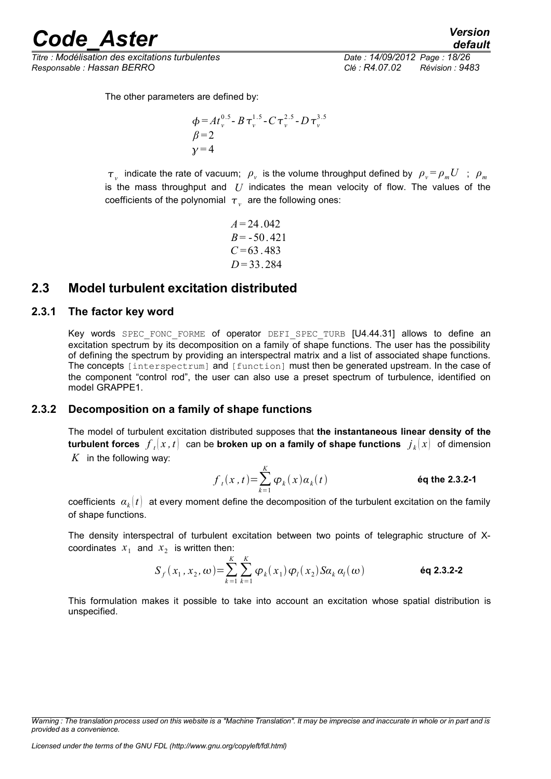*Titre : Modélisation des excitations turbulentes Date : 14/09/2012 Page : 18/26 Responsable : Hassan BERRO Clé : R4.07.02 Révision : 9483*

*default*

The other parameters are defined by:

$$
\phi = At_v^{0.5} - B \tau_v^{1.5} - C \tau_v^{2.5} - D \tau_v^{3.5}
$$
  
 
$$
\beta = 2
$$
  
 
$$
\gamma = 4
$$

 $\tau$ <sub>*v*</sub> indicate the rate of vacuum;  $\rho$ <sub>*v*</sub> is the volume throughput defined by  $\rho$ <sub>*v*</sub>= $\rho$ <sub>*m</sub>U* ;  $\rho$ <sub>*m*</sub></sub> is the mass throughput and *U* indicates the mean velocity of flow. The values of the coefficients of the polynomial  $\tau_{v}^{\parallel}$  are the following ones:

> $A = 24.042$  $B = -50.421$  $C = 63.483$ *D* = 33.284

# <span id="page-17-2"></span>**2.3 Model turbulent excitation distributed**

#### **2.3.1 The factor key word**

<span id="page-17-1"></span>Key words SPEC FONC FORME of operator DEFI SPEC TURB [U4.44.31] allows to define an excitation spectrum by its decomposition on a family of shape functions. The user has the possibility of defining the spectrum by providing an interspectral matrix and a list of associated shape functions. The concepts [interspectrum] and [function] must then be generated upstream. In the case of the component "control rod", the user can also use a preset spectrum of turbulence, identified on model GRAPPE1.

### **2.3.2 Decomposition on a family of shape functions**

<span id="page-17-0"></span>The model of turbulent excitation distributed supposes that **the instantaneous linear density of the**  ${\bf t}$ urbulent forces  $\left. f_{\,t} \right| x,t \right\} \,$  can be **broken up on a family of shape functions**  $\left. j_{\,k} \right| x ) \,$  of dimension *K* in the following way:

$$
f_t(x,t) = \sum_{k=1}^K \varphi_k(x) a_k(t)
$$
éq the 2.3.2-1

 $\mathsf{coefficients}\;\;{\alpha}_k[t]\;$  at every moment define the decomposition of the turbulent excitation on the family of shape functions.

The density interspectral of turbulent excitation between two points of telegraphic structure of Xcoordinates  $x_1$  and  $x_2$  is written then:

$$
S_f(x_1, x_2, \omega) = \sum_{k=1}^{K} \sum_{k=1}^{K} \varphi_k(x_1) \varphi_l(x_2) S a_k a_l(\omega)
$$
éq 2.3.2-2

This formulation makes it possible to take into account an excitation whose spatial distribution is unspecified.

*Warning : The translation process used on this website is a "Machine Translation". It may be imprecise and inaccurate in whole or in part and is provided as a convenience.*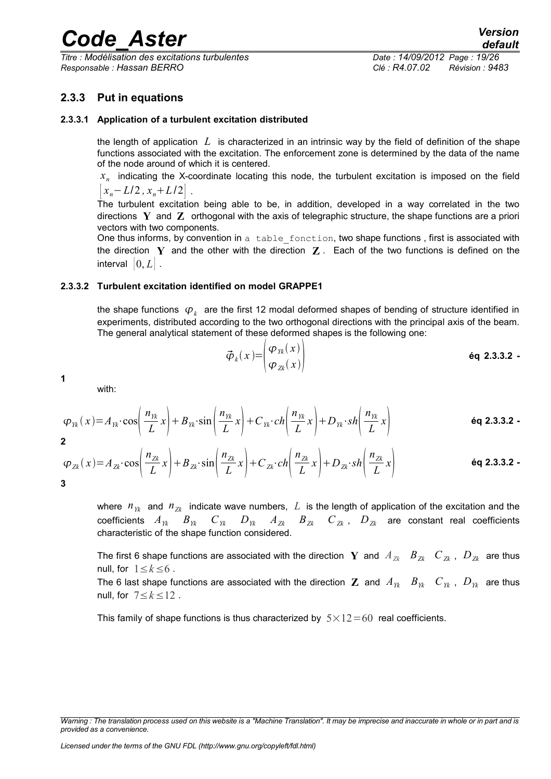*Titre : Modélisation des excitations turbulentes Date : 14/09/2012 Page : 19/26 Responsable : Hassan BERRO Clé : R4.07.02 Révision : 9483*

## <span id="page-18-2"></span>**2.3.3 Put in equations**

#### **2.3.3.1 Application of a turbulent excitation distributed**

<span id="page-18-1"></span>the length of application *L* is characterized in an intrinsic way by the field of definition of the shape functions associated with the excitation. The enforcement zone is determined by the data of the name of the node around of which it is centered.

*xn* indicating the X-coordinate locating this node, the turbulent excitation is imposed on the field  $|x_n - L/2, x_n + L/2|$ .

The turbulent excitation being able to be, in addition, developed in a way correlated in the two directions **Y** and **Z** orthogonal with the axis of telegraphic structure, the shape functions are a priori vectors with two components.

One thus informs, by convention in a table fonction, two shape functions, first is associated with the direction **Y** and the other with the direction **Z** . Each of the two functions is defined on the interval  $[0, L]$ .

#### **2.3.3.2 Turbulent excitation identified on model GRAPPE1**

<span id="page-18-0"></span>the shape functions  $\ket{\varphi_k}$  are the first 12 modal deformed shapes of bending of structure identified in experiments, distributed according to the two orthogonal directions with the principal axis of the beam. The general analytical statement of these deformed shapes is the following one:

$$
\vec{\boldsymbol{\varphi}}_k(x) = \begin{pmatrix} \boldsymbol{\varphi}_{1k}(x) \\ \boldsymbol{\varphi}_{2k}(x) \end{pmatrix}
$$
 **éq 2.3.3.2 -**

**1**

with:

$$
\varphi_{Yk}(x) = A_{Yk} \cdot \cos\left(\frac{n_{Yk}}{L}x\right) + B_{Yk} \cdot \sin\left(\frac{n_{Yk}}{L}x\right) + C_{Yk} \cdot ch\left(\frac{n_{Yk}}{L}x\right) + D_{Yk} \cdot sh\left(\frac{n_{Yk}}{L}x\right)
$$
\n
$$
\text{\'eq 2.3.3.2 -}
$$

$$
\varphi_{Zk}(x) = A_{Zk} \cdot \cos\left(\frac{n_{Zk}}{L}x\right) + B_{Zk} \cdot \sin\left(\frac{n_{Zk}}{L}x\right) + C_{Zk} \cdot ch\left(\frac{n_{Zk}}{L}x\right) + D_{Zk} \cdot sh\left(\frac{n_{Zk}}{L}x\right)
$$
\n6q 2.3.3.2 -

where  $n_{Yk}$  and  $n_{Zk}$  indicate wave numbers, L is the length of application of the excitation and the coefficients  $A_{Yk}$   $B_{Yk}$   $C_{Yk}$   $D_{Yk}$   $A_{Zk}$   $B_{Zk}$   $C_{Zk}$ ,  $D_{Zk}$  are constant real coefficients characteristic of the shape function considered.

The first 6 shape functions are associated with the direction  $Y$  and  $A_{Zk}$   $B_{Zk}$   $C_{Zk}$ ,  $D_{Zk}$  are thus null, for  $1 \leq k \leq 6$ .

The 6 last shape functions are associated with the direction  $\bf{Z}$  and  $A_{Yk}$   $B_{Yk}$   $C_{Yk}$ ,  $D_{Yk}$  are thus null, for 7≤*k*≤12 .

This family of shape functions is thus characterized by  $5\times12=60$  real coefficients.

*Warning : The translation process used on this website is a "Machine Translation". It may be imprecise and inaccurate in whole or in part and is provided as a convenience.*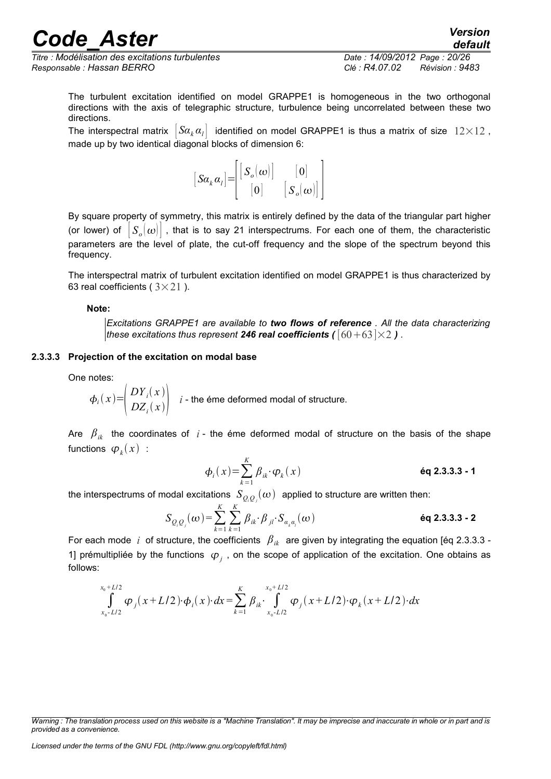*Titre : Modélisation des excitations turbulentes Date : 14/09/2012 Page : 20/26 Responsable : Hassan BERRO Clé : R4.07.02 Révision : 9483*

*default*

The turbulent excitation identified on model GRAPPE1 is homogeneous in the two orthogonal directions with the axis of telegraphic structure, turbulence being uncorrelated between these two directions.

The interspectral matrix  $|Sa_k a_l|$  identified on model GRAPPE1 is thus a matrix of size  $12\times12$ , made up by two identical diagonal blocks of dimension 6:

$$
[S\alpha_{k}\alpha_{l}] = \begin{bmatrix} [S_{o}(\omega)] & [0] \\ [0] & [S_{o}(\omega)] \end{bmatrix}
$$

By square property of symmetry, this matrix is entirely defined by the data of the triangular part higher (or lower) of  $|S_o(\omega)|$  , that is to say 21 interspectrums. For each one of them, the characteristic parameters are the level of plate, the cut-off frequency and the slope of the spectrum beyond this frequency.

The interspectral matrix of turbulent excitation identified on model GRAPPE1 is thus characterized by 63 real coefficients ( $3\times21$ ).

#### **Note:**

*Excitations GRAPPE1 are available to two flows of reference . All the data characterizing these excitations thus represent* 246 real coefficients ( $\left[60+63\right] \times 2$ ).

#### **2.3.3.3 Projection of the excitation on modal base**

<span id="page-19-0"></span>One notes:

$$
\phi_i(x) = \begin{pmatrix} DY_i(x) \\ DZ_i(x) \end{pmatrix}
$$
 i - the éme deformed modal of structure.

Are  $\beta_{ik}$  the coordinates of *i* - the éme deformed modal of structure on the basis of the shape functions  $\varphi_{\scriptscriptstyle k}^{}(\scriptstyle x)\,$  :

$$
\phi_i(x) = \sum_{k=1}^K \beta_{ik} \cdot \varphi_k(x) \qquad \text{Eq 2.3.3.3 - 1}
$$

the interspectrums of modal excitations  $\ S_{\mathcal{Q},\mathcal{Q}_j}(\omega)$  applied to structure are written then:

$$
S_{Q_i Q_j}(\omega) = \sum_{k=1}^{K} \sum_{k=1}^{K} \beta_{ik} \cdot \beta_{jl} \cdot S_{\alpha_k \alpha_l}(\omega)
$$
éq 2.3.3.3 - 2

For each mode *i* of structure, the coefficients  $\beta_{ik}$  are given by integrating the equation [éq 2.3.3.3 -1] prémultipliée by the functions  $\varphi_j$ , on the scope of application of the excitation. One obtains as follows:

$$
\int_{x_0-L/2}^{x_0+L/2} \varphi_j(x+L/2) \cdot \varphi_i(x) \cdot dx = \sum_{k=1}^K \beta_{ik} \cdot \int_{x_0-L/2}^{x_0+L/2} \varphi_j(x+L/2) \cdot \varphi_k(x+L/2) \cdot dx
$$

*Licensed under the terms of the GNU FDL (http://www.gnu.org/copyleft/fdl.html)*

*Warning : The translation process used on this website is a "Machine Translation". It may be imprecise and inaccurate in whole or in part and is provided as a convenience.*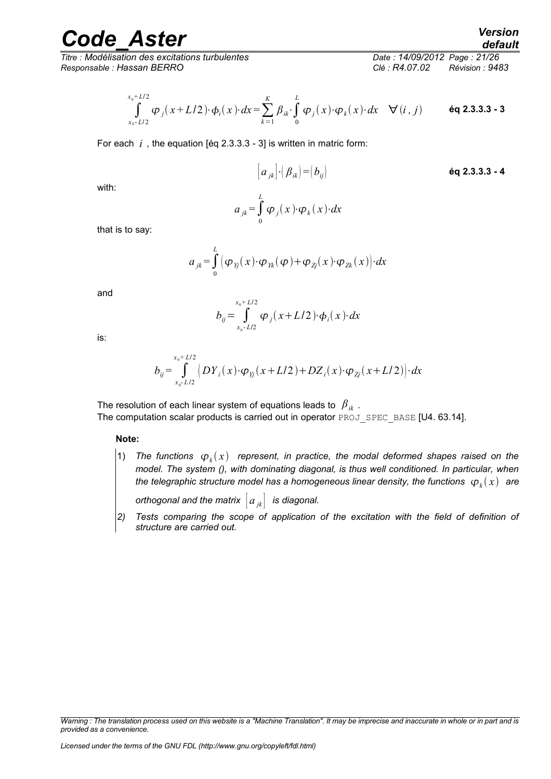*Titre : Modélisation des excitations turbulentes Date : 14/09/2012 Page : 21/26 Responsable : Hassan BERRO Clé : R4.07.02 Révision : 9483*

$$
\int_{x_0 - L/2}^{x_0 + L/2} \varphi_j(x + L/2) \cdot \varphi_i(x) \cdot dx = \sum_{k=1}^K \beta_{ik} \cdot \int_0^L \varphi_j(x) \cdot \varphi_k(x) \cdot dx \quad \forall (i, j) \quad \text{Eq 2.3.3.3 - 3}
$$

For each *i* , the equation [éq 2.3.3.3 - 3] is written in matric form:

with:  
\n
$$
[a_{jk}] \cdot (B_{ik}) = (b_{ij})
$$
\n
$$
\begin{array}{ccc}\n & \text{6q 2.3.3.3 - 4} \\
& \text{6q 2.3.3.3 - 4}\n\end{array}
$$

with:

$$
a_{jk} = \int_{0}^{L} \varphi_{j}(x) \cdot \varphi_{k}(x) \cdot dx
$$

that is to say:

$$
a_{jk} = \int_{0}^{L} \left( \varphi_{Yj}(x) \cdot \varphi_{Yk}(\varphi) + \varphi_{Zj}(x) \cdot \varphi_{Zk}(x) \right) dx
$$

and

$$
b_{ij} = \int_{x_0 - L/2}^{x_0 + L/2} \varphi_j(x + L/2) \cdot \varphi_i(x) \cdot dx
$$

is:

$$
b_{ij} = \int_{x_0 - L/2}^{x_0 + L/2} \left( DY_i(x) \cdot \varphi_{Yj}(x + L/2) + DZ_i(x) \cdot \varphi_{Zj}(x + L/2) \right) dx
$$

The resolution of each linear system of equations leads to *βik* .

The computation scalar products is carried out in operator PROJ\_SPEC\_BASE [U4. 63.14].

#### **Note:**

1) The functions  $\varphi_k(x)$  represent, in practice, the modal deformed shapes raised on the *model. The system (), with dominating diagonal, is thus well conditioned. In particular, when* the telegraphic structure model has a homogeneous linear density, the functions  $\,\,\phi_{\scriptscriptstyle k}(x)\,\,$  are

*orthogonal and the matrix*  $|a_{ik}|$  *is diagonal.* 

*2) Tests comparing the scope of application of the excitation with the field of definition of structure are carried out.*

*Warning : The translation process used on this website is a "Machine Translation". It may be imprecise and inaccurate in whole or in part and is provided as a convenience.*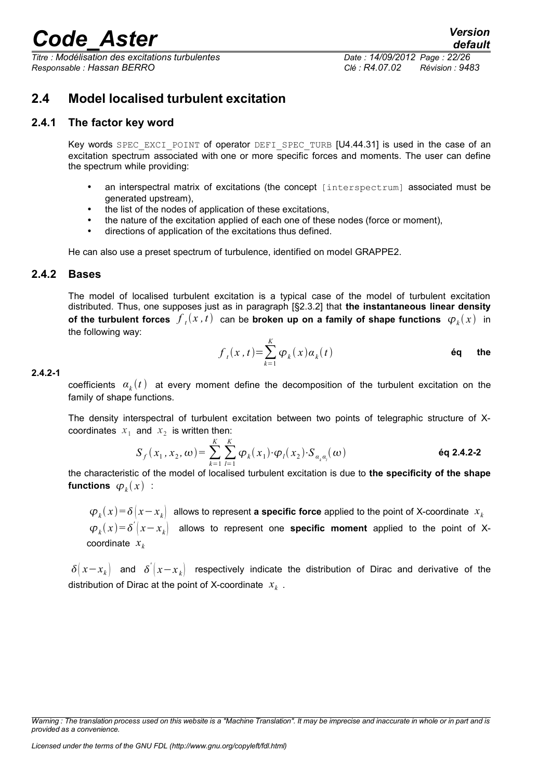*Titre : Modélisation des excitations turbulentes Date : 14/09/2012 Page : 22/26 Responsable : Hassan BERRO Clé : R4.07.02 Révision : 9483*

# <span id="page-21-2"></span>**2.4 Model localised turbulent excitation**

### **2.4.1 The factor key word**

<span id="page-21-1"></span>Key words SPEC EXCI POINT of operator DEFI\_SPEC\_TURB [U4.44.31] is used in the case of an excitation spectrum associated with one or more specific forces and moments. The user can define the spectrum while providing:

- an interspectral matrix of excitations (the concept [interspectrum] associated must be generated upstream),
- the list of the nodes of application of these excitations.
- the nature of the excitation applied of each one of these nodes (force or moment),
- directions of application of the excitations thus defined.

<span id="page-21-0"></span>He can also use a preset spectrum of turbulence, identified on model GRAPPE2.

### **2.4.2 Bases**

The model of localised turbulent excitation is a typical case of the model of turbulent excitation distributed. Thus, one supposes just as in paragraph [§2.3.2] that **the instantaneous linear density of the turbulent forces**  $\overline{f}_t(x,t)$  can be **broken up on a family of shape functions**  $\overline{\boldsymbol{\varphi}}_k(x)$  in the following way:

$$
f_{t}(x,t) = \sum_{k=1}^{K} \varphi_{k}(x) a_{k}(t)
$$
éq the

#### **2.4.2-1**

coefficients  $\alpha_k(t)$  at every moment define the decomposition of the turbulent excitation on the family of shape functions.

The density interspectral of turbulent excitation between two points of telegraphic structure of Xcoordinates  $x_1$  and  $x_2$  is written then:

$$
S_f(x_1, x_2, \omega) = \sum_{k=1}^{K} \sum_{l=1}^{K} \varphi_k(x_1) \cdot \varphi_l(x_2) \cdot S_{a_k a_l}(\omega)
$$

the characteristic of the model of localised turbulent excitation is due to **the specificity of the shape** functions  $\varphi_k(x)$  :

 $\bm{\varphi}_k(x) \!=\! \delta\big(x \!-\! x_k\big)$  allows to represent **a specific force** applied to the point of X-coordinate  $\; x_k$  $\varphi_k(x) = \delta^{'}(x-x_k)$  allows to represent one **specific moment** applied to the point of Xcoordinate *x<sup>k</sup>*

 $\delta(x-x_k)$  and  $\delta'(x-x_k)$  respectively indicate the distribution of Dirac and derivative of the distribution of Dirac at the point of X-coordinate *x<sup>k</sup>* .

*Warning : The translation process used on this website is a "Machine Translation". It may be imprecise and inaccurate in whole or in part and is provided as a convenience.*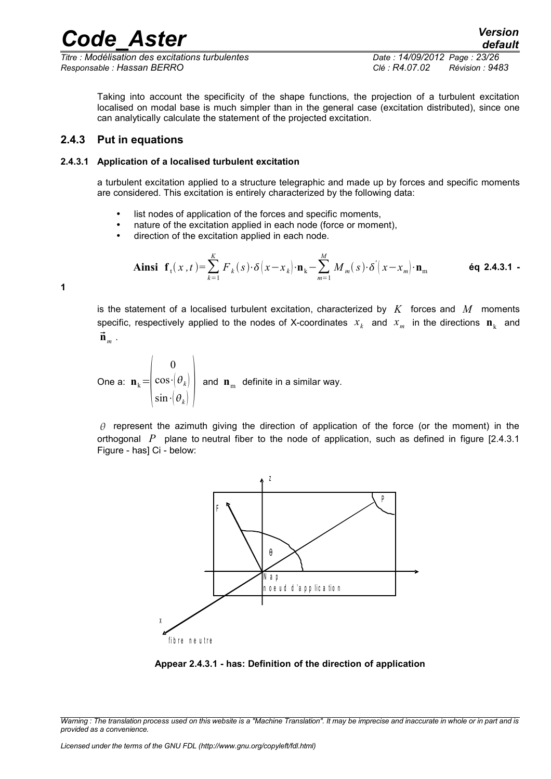*Titre : Modélisation des excitations turbulentes Date : 14/09/2012 Page : 23/26 Responsable : Hassan BERRO Clé : R4.07.02 Révision : 9483*

Taking into account the specificity of the shape functions, the projection of a turbulent excitation localised on modal base is much simpler than in the general case (excitation distributed), since one can analytically calculate the statement of the projected excitation.

### <span id="page-22-1"></span>**2.4.3 Put in equations**

#### **2.4.3.1 Application of a localised turbulent excitation**

<span id="page-22-0"></span>a turbulent excitation applied to a structure telegraphic and made up by forces and specific moments are considered. This excitation is entirely characterized by the following data:

- list nodes of application of the forces and specific moments,
- nature of the excitation applied in each node (force or moment),
- direction of the excitation applied in each node.

$$
\textbf{Ainsi} \quad \mathbf{f}_t(x,t) = \sum_{k=1}^K F_k(s) \cdot \delta\left(x - x_k\right) \cdot \mathbf{n}_k - \sum_{m=1}^M M_m(s) \cdot \delta\left(x - x_m\right) \cdot \mathbf{n}_m \tag{6q 2.4.3.1 -}
$$

**1**

is the statement of a localised turbulent excitation, characterized by *K* forces and *M* moments specific, respectively applied to the nodes of X-coordinates  $x_k$  and  $x_m$  in the directions  $\mathbf{n}_k$  and  $\vec{\mathbf{n}}_m$ .

One a:  $\mathbf{n}_k = \begin{bmatrix} \cos \theta \\ \sin \theta \end{bmatrix}$ 0  $\cos \cdot (\theta_k)$  $\sin \cdot (\theta_k)$ and  $\mathbf{n}_{\text{m}}$  definite in a similar way.

 $\theta$  represent the azimuth giving the direction of application of the force (or the moment) in the orthogonal *P* plane to neutral fiber to the node of application, such as defined in figure [2.4.3.1 Figure - has] Ci - below:



**Appear 2.4.3.1 - has: Definition of the direction of application**

*Warning : The translation process used on this website is a "Machine Translation". It may be imprecise and inaccurate in whole or in part and is provided as a convenience.*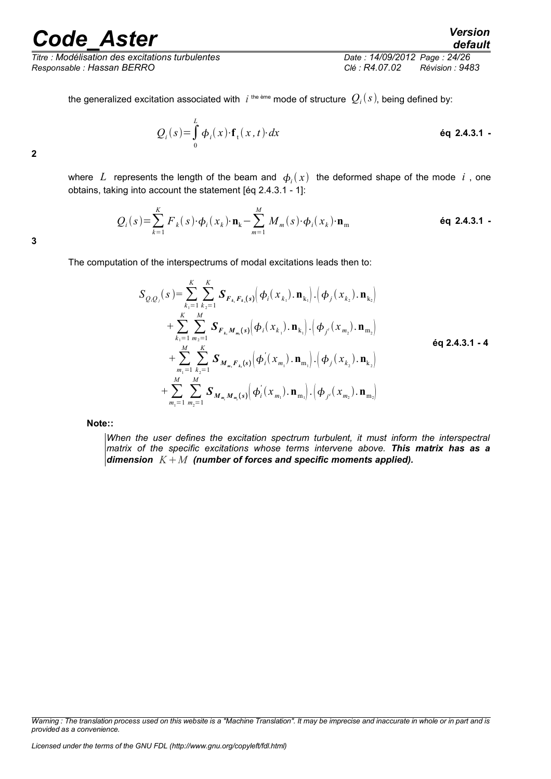*Titre : Modélisation des excitations turbulentes Date : 14/09/2012 Page : 24/26 Responsable : Hassan BERRO Clé : R4.07.02 Révision : 9483*

*default*

the generalized excitation associated with  $\;$  i<sup>the ème</sup> mode of structure  $\;Q_i(s)$ , being defined by:

$$
Q_i(s) = \int_0^L \phi_i(x) \cdot \mathbf{f}_t(x, t) \cdot dx
$$

**2**

where  $L$  represents the length of the beam and  $\phi_i(x)$  the deformed shape of the mode  $i$  , one obtains, taking into account the statement [éq 2.4.3.1 - 1]:

$$
Q_i(s) = \sum_{k=1}^{K} F_k(s) \cdot \boldsymbol{\phi}_i(x_k) \cdot \mathbf{n}_k - \sum_{m=1}^{M} M_m(s) \cdot \boldsymbol{\phi}_i(x_k) \cdot \mathbf{n}_m
$$

**3**

The computation of the interspectrums of modal excitations leads then to:

$$
S_{Q,Q_{j}}(s) = \sum_{k_{1}=1}^{K} \sum_{k_{2}=1}^{K} \mathbf{S}_{F_{k_{1}}F_{k_{2}}(s)}(\boldsymbol{\phi}_{i}(x_{k_{1}}), \mathbf{n}_{k_{1}}) \cdot (\boldsymbol{\phi}_{j}(x_{k_{2}}), \mathbf{n}_{k_{2}})
$$
  
+ 
$$
\sum_{k_{1}=1}^{K} \sum_{m_{2}=1}^{M} \mathbf{S}_{F_{k_{1}}M_{m_{1}}(s)}(\boldsymbol{\phi}_{i}(x_{k_{1}}), \mathbf{n}_{k_{1}}) \cdot (\boldsymbol{\phi}_{j^{*}}(x_{m_{2}}), \mathbf{n}_{m_{2}})
$$
  
+ 
$$
\sum_{m_{1}=1}^{M} \sum_{k_{2}=1}^{K} \mathbf{S}_{M_{m_{1}}F_{k_{2}}(s)}(\boldsymbol{\phi}_{i}(x_{m_{1}}), \mathbf{n}_{m_{1}}) \cdot (\boldsymbol{\phi}_{j}(x_{k_{2}}), \mathbf{n}_{k_{2}})
$$
  
+ 
$$
\sum_{m_{1}=1}^{M} \sum_{m_{2}=1}^{M} \mathbf{S}_{M_{m_{1}}M_{m_{2}}(s)}(\boldsymbol{\phi}_{i}(x_{m_{1}}), \mathbf{n}_{m_{1}}) \cdot (\boldsymbol{\phi}_{j^{*}}(x_{m_{2}}), \mathbf{n}_{m_{2}})
$$

**Note::** 

*When the user defines the excitation spectrum turbulent, it must inform the interspectral matrix of the specific excitations whose terms intervene above. This matrix has as a dimension KM (number of forces and specific moments applied).*

*Warning : The translation process used on this website is a "Machine Translation". It may be imprecise and inaccurate in whole or in part and is provided as a convenience.*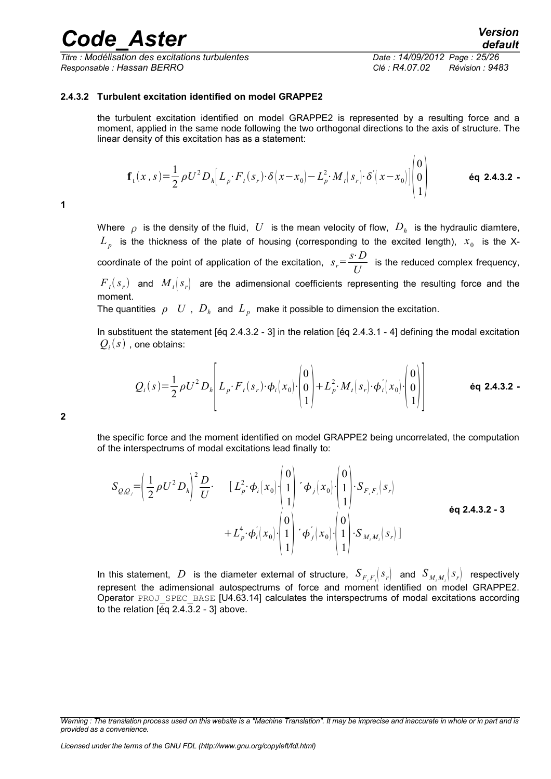*Titre : Modélisation des excitations turbulentes Date : 14/09/2012 Page : 25/26 Responsable : Hassan BERRO Clé : R4.07.02 Révision : 9483*

 $\sqrt{2}$ 

#### **2.4.3.2 Turbulent excitation identified on model GRAPPE2**

<span id="page-24-0"></span>the turbulent excitation identified on model GRAPPE2 is represented by a resulting force and a moment, applied in the same node following the two orthogonal directions to the axis of structure. The linear density of this excitation has as a statement:

$$
\mathbf{f}_{t}(x,s) = \frac{1}{2} \rho U^{2} D_{h} \Big[ L_{p} \cdot F_{t}(s_{r}) \cdot \delta \big(x - x_{0}\big) - L_{p}^{2} \cdot M_{t}(s_{r}) \cdot \delta \big(x - x_{0}\big) \Big] \begin{pmatrix} 0 \\ 0 \\ 1 \end{pmatrix}
$$
 6q 2.4.3.2 -

**1**

Where  $\rho$  is the density of the fluid,  $|U|$  is the mean velocity of flow,  $|D_h|$  is the hydraulic diamtere,  $L_p$  is the thickness of the plate of housing (corresponding to the excited length),  $x_0$  is the X- $\alpha$  coordinate of the point of application of the excitation,  $s_r = \frac{s \cdot D}{I}$  $\frac{2}{U}$  is the reduced complex frequency,

 ${F}_t(s_r)$  and  ${M}_t(s_r)$  are the adimensional coefficients representing the resulting force and the moment.

The quantities  $\rho$   $U$  ,  $D_h$  and  $L_p$  make it possible to dimension the excitation.

In substituent the statement [éq 2.4.3.2 - 3] in the relation [éq 2.4.3.1 - 4] defining the modal excitation  $\mathcal{Q}_i(s)$  , one obtains:

$$
Q_i(s) = \frac{1}{2} \rho U^2 D_h \left[ L_p \cdot F_t(s_r) \cdot \phi_i(x_0) \cdot \begin{pmatrix} 0 \\ 0 \\ 1 \end{pmatrix} + L_p^2 \cdot M_t(s_r) \cdot \phi_i'(x_0) \cdot \begin{pmatrix} 0 \\ 0 \\ 1 \end{pmatrix} \right]
$$
 6q 2.4.3.2 -

**2**

the specific force and the moment identified on model GRAPPE2 being uncorrelated, the computation of the interspectrums of modal excitations lead finally to:

$$
S_{Q,Q} = \left(\frac{1}{2}\rho U^2 D_h\right)^2 \frac{D}{U} \cdot \left[L_p^2 \cdot \phi_i(x_0) \cdot \begin{pmatrix} 0 \\ 1 \\ 1 \end{pmatrix} \cdot \phi_j(x_0) \cdot \begin{pmatrix} 0 \\ 1 \\ 1 \end{pmatrix} \cdot S_{F,F_i}(s_r) + L_p^4 \cdot \phi_i'(x_0) \cdot \begin{pmatrix} 0 \\ 1 \\ 1 \end{pmatrix} \cdot \phi_j'(x_0) \cdot \begin{pmatrix} 0 \\ 1 \\ 1 \end{pmatrix} \cdot S_{M,M_i}(s_r)
$$

In this statement,  $D$  is the diameter external of structure,  $S_{F,F_i}(s_r)$  and  $S_{M_iM_i}(s_r)$  respectively represent the adimensional autospectrums of force and moment identified on model GRAPPE2. Operator PROJ\_SPEC\_BASE [U4.63.14] calculates the interspectrums of modal excitations according to the relation  $[6q 2.4.3.2 - 3]$  above.

*Warning : The translation process used on this website is a "Machine Translation". It may be imprecise and inaccurate in whole or in part and is provided as a convenience.*